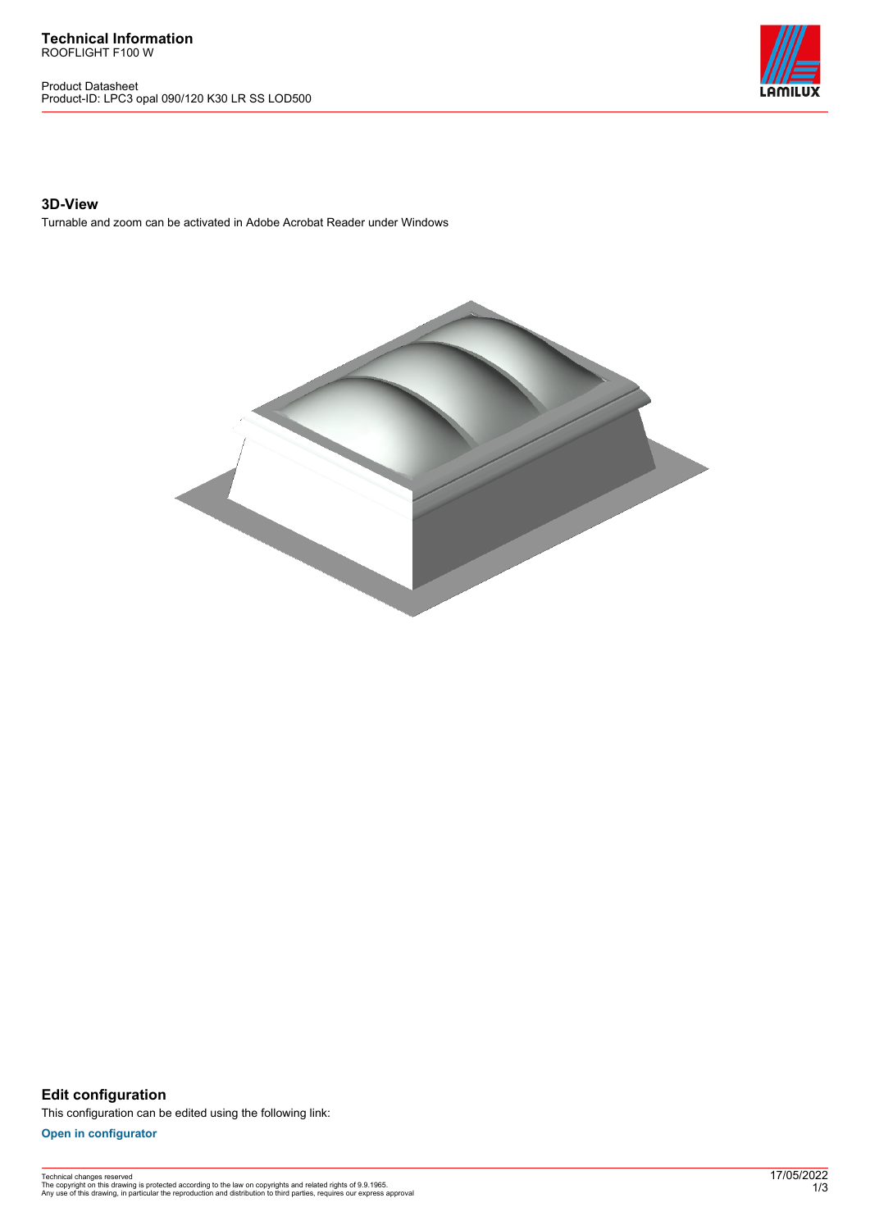**Technical Information** ROOFLIGHT F100 W

Product Datasheet Product-ID: LPC3 opal 090/120 K30 LR SS LOD500



## **3D-View**

Turnable and zoom can be activated in Adobe Acrobat Reader under Windows



**Edit configuration** This configuration can be edited using the following link:

**[Open in configurator](https://bimconfig.lamilux.com//?quickcode=LXIRWA)**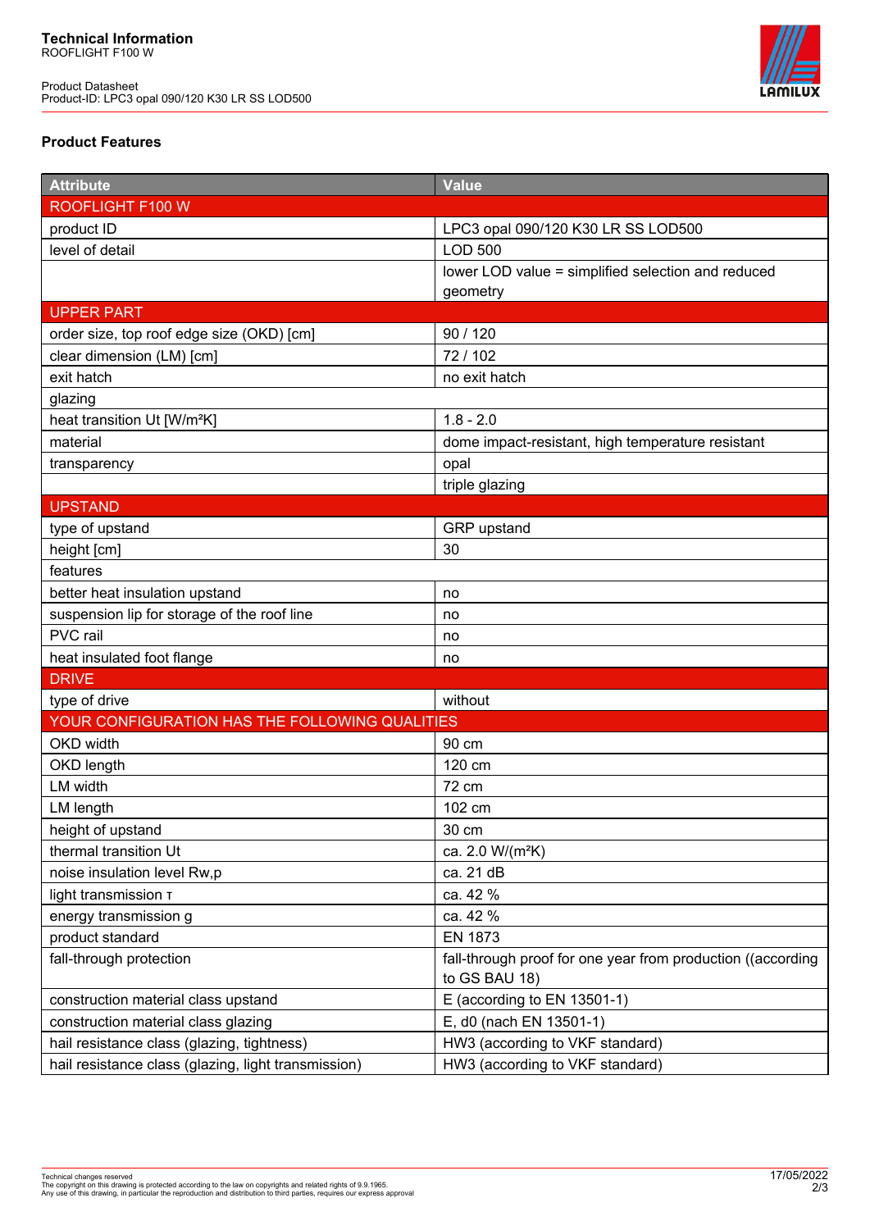Product Datasheet Product-ID: LPC3 opal 090/120 K30 LR SS LOD500



## **Product Features**

| <b>Attribute</b>                                    | <b>Value</b>                                                                 |
|-----------------------------------------------------|------------------------------------------------------------------------------|
| ROOFLIGHT F100 W                                    |                                                                              |
| product ID                                          | LPC3 opal 090/120 K30 LR SS LOD500                                           |
| level of detail                                     | <b>LOD 500</b>                                                               |
|                                                     | lower LOD value = simplified selection and reduced                           |
|                                                     | geometry                                                                     |
| <b>UPPER PART</b>                                   |                                                                              |
| order size, top roof edge size (OKD) [cm]           | 90 / 120                                                                     |
| clear dimension (LM) [cm]                           | 72/102                                                                       |
| exit hatch                                          | no exit hatch                                                                |
| glazing                                             |                                                                              |
| heat transition Ut [W/m <sup>2</sup> K]             | $1.8 - 2.0$                                                                  |
| material                                            | dome impact-resistant, high temperature resistant                            |
| transparency                                        | opal                                                                         |
|                                                     | triple glazing                                                               |
| <b>UPSTAND</b>                                      |                                                                              |
| type of upstand                                     | GRP upstand                                                                  |
| height [cm]                                         | 30                                                                           |
| features                                            |                                                                              |
| better heat insulation upstand                      | no                                                                           |
| suspension lip for storage of the roof line         | no                                                                           |
| PVC rail                                            | no                                                                           |
| heat insulated foot flange                          | no                                                                           |
| <b>DRIVE</b>                                        |                                                                              |
| type of drive                                       | without                                                                      |
| YOUR CONFIGURATION HAS THE FOLLOWING QUALITIES      |                                                                              |
| OKD width                                           | 90 cm                                                                        |
| OKD length                                          | 120 cm                                                                       |
| LM width                                            | 72 cm                                                                        |
| LM length                                           | 102 cm                                                                       |
| height of upstand                                   | 30 cm                                                                        |
| thermal transition Ut                               | ca. 2.0 W/(m <sup>2</sup> K)                                                 |
| noise insulation level Rw,p                         | ca. 21 dB                                                                    |
| light transmission T                                | ca. 42 %                                                                     |
| energy transmission g                               | ca. 42 %                                                                     |
| product standard                                    | <b>EN 1873</b>                                                               |
| fall-through protection                             | fall-through proof for one year from production ((according<br>to GS BAU 18) |
| construction material class upstand                 | E (according to EN 13501-1)                                                  |
| construction material class glazing                 | E, d0 (nach EN 13501-1)                                                      |
| hail resistance class (glazing, tightness)          | HW3 (according to VKF standard)                                              |
| hail resistance class (glazing, light transmission) | HW3 (according to VKF standard)                                              |